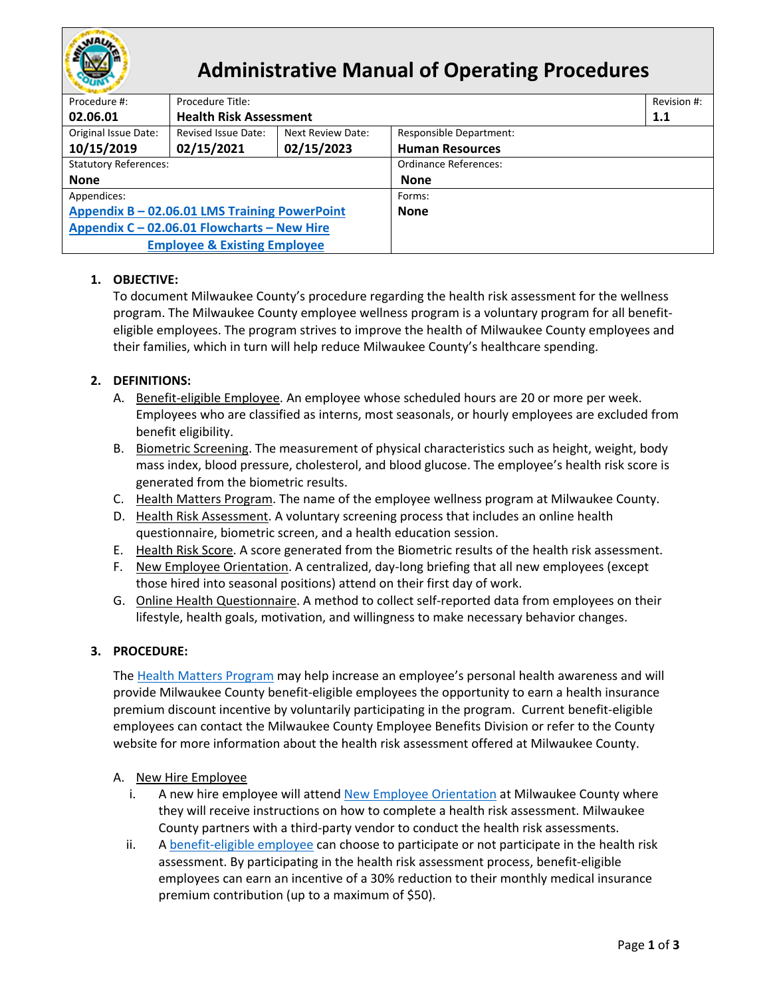

# **Administrative Manual of Operating Procedures**

| Procedure #:                                  | Procedure Title:              |                   |                                |     |  |  |
|-----------------------------------------------|-------------------------------|-------------------|--------------------------------|-----|--|--|
| 02.06.01                                      | <b>Health Risk Assessment</b> |                   |                                | 1.1 |  |  |
| Original Issue Date:                          | Revised Issue Date:           | Next Review Date: | <b>Responsible Department:</b> |     |  |  |
| 10/15/2019                                    | 02/15/2021                    | 02/15/2023        | <b>Human Resources</b>         |     |  |  |
| <b>Statutory References:</b>                  |                               |                   | <b>Ordinance References:</b>   |     |  |  |
| <b>None</b>                                   |                               |                   | None                           |     |  |  |
| Appendices:                                   |                               |                   | Forms:                         |     |  |  |
| Appendix B - 02.06.01 LMS Training PowerPoint |                               |                   | <b>None</b>                    |     |  |  |
| Appendix $C - 02.06.01$ Flowcharts - New Hire |                               |                   |                                |     |  |  |
| <b>Employee &amp; Existing Employee</b>       |                               |                   |                                |     |  |  |
|                                               |                               |                   |                                |     |  |  |

## **1. OBJECTIVE:**

To document Milwaukee County's procedure regarding the health risk assessment for the wellness program. The Milwaukee County employee wellness program is a voluntary program for all benefiteligible employees. The program strives to improve the health of Milwaukee County employees and their families, which in turn will help reduce Milwaukee County's healthcare spending.

## <span id="page-0-2"></span>**2. DEFINITIONS:**

- A. Benefit-eligible Employee. An employee whose scheduled hours are 20 or more per week. Employees who are classified as interns, most seasonals, or hourly employees are excluded from benefit eligibility.
- <span id="page-0-4"></span>B. Biometric Screening. The measurement of physical characteristics such as height, weight, body mass index, blood pressure, cholesterol, and blood glucose. The employee's health risk score is generated from the biometric results.
- <span id="page-0-0"></span>C. Health Matters Program. The name of the employee wellness program at Milwaukee County.
- D. Health Risk Assessment. A voluntary screening process that includes an online health questionnaire, biometric screen, and a health education session.
- <span id="page-0-5"></span>E. Health Risk Score. A score generated from the Biometric results of the health risk assessment.
- <span id="page-0-1"></span>F. New Employee Orientation. A centralized, day-long briefing that all new employees (except those hired into seasonal positions) attend on their first day of work.
- <span id="page-0-3"></span>G. Online Health Questionnaire. A method to collect self-reported data from employees on their lifestyle, health goals, motivation, and willingness to make necessary behavior changes.

### **3. PROCEDURE:**

The [Health Matters Program](#page-0-0) may help increase an employee's personal health awareness and will provide Milwaukee County benefit-eligible employees the opportunity to earn a health insurance premium discount incentive by voluntarily participating in the program. Current benefit-eligible employees can contact the Milwaukee County Employee Benefits Division or refer to the County website for more information about the health risk assessment offered at Milwaukee County.

### A. New Hire Employee

- i. A new hire employee will attend [New Employee Orientation](#page-0-1) at Milwaukee County where they will receive instructions on how to complete a health risk assessment. Milwaukee County partners with a third-party vendor to conduct the health risk assessments.
- ii. A [benefit-eligible employee](#page-0-2) can choose to participate or not participate in the health risk assessment. By participating in the health risk assessment process, benefit-eligible employees can earn an incentive of a 30% reduction to their monthly medical insurance premium contribution (up to a maximum of \$50).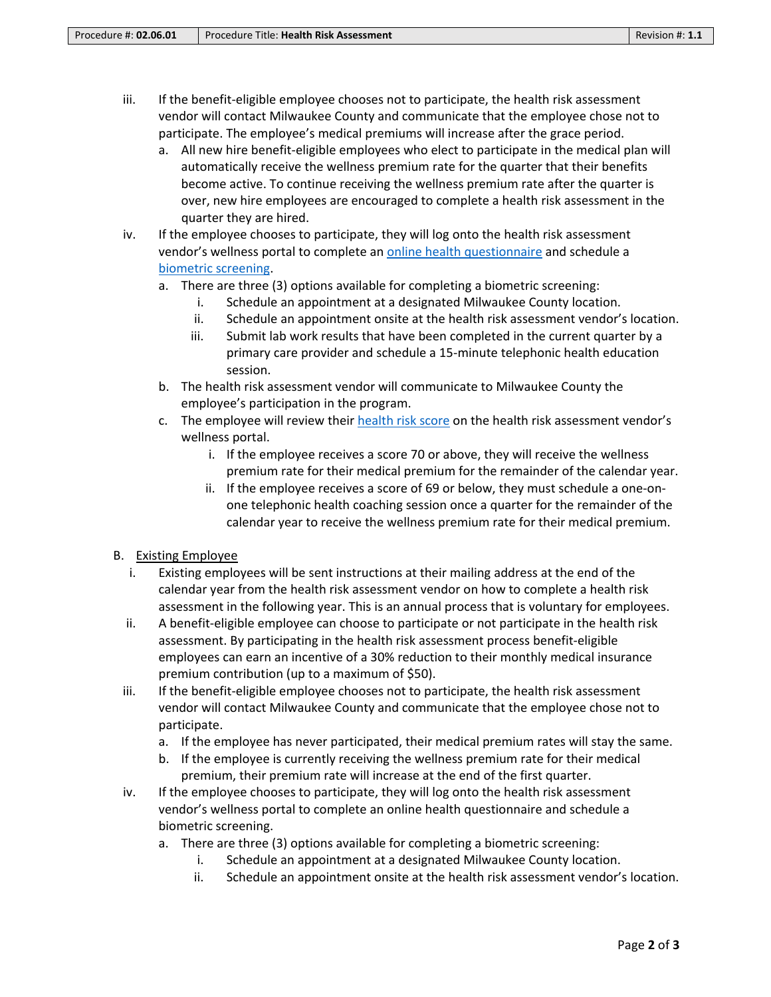- iii. If the benefit-eligible employee chooses not to participate, the health risk assessment vendor will contact Milwaukee County and communicate that the employee chose not to participate. The employee's medical premiums will increase after the grace period.
	- a. All new hire benefit-eligible employees who elect to participate in the medical plan will automatically receive the wellness premium rate for the quarter that their benefits become active. To continue receiving the wellness premium rate after the quarter is over, new hire employees are encouraged to complete a health risk assessment in the quarter they are hired.
- iv. If the employee chooses to participate, they will log onto the health risk assessment vendor's wellness portal to complete an [online health questionnaire](#page-0-3) and schedule a biometric [screening.](#page-0-4)
	- a. There are three (3) options available for completing a biometric screening:
		- i. Schedule an appointment at a designated Milwaukee County location.
		- ii. Schedule an appointment onsite at the health risk assessment vendor's location.
		- iii. Submit lab work results that have been completed in the current quarter by a primary care provider and schedule a 15-minute telephonic health education session.
	- b. The health risk assessment vendor will communicate to Milwaukee County the employee's participation in the program.
	- c. The employee will review their [health risk score](#page-0-5) on the health risk assessment vendor's wellness portal.
		- i. If the employee receives a score 70 or above, they will receive the wellness premium rate for their medical premium for the remainder of the calendar year.
		- ii. If the employee receives a score of 69 or below, they must schedule a one-onone telephonic health coaching session once a quarter for the remainder of the calendar year to receive the wellness premium rate for their medical premium.

### B. Existing Employee

- i. Existing employees will be sent instructions at their mailing address at the end of the calendar year from the health risk assessment vendor on how to complete a health risk assessment in the following year. This is an annual process that is voluntary for employees.
- ii. A benefit-eligible employee can choose to participate or not participate in the health risk assessment. By participating in the health risk assessment process benefit-eligible employees can earn an incentive of a 30% reduction to their monthly medical insurance premium contribution (up to a maximum of \$50).
- iii. If the benefit-eligible employee chooses not to participate, the health risk assessment vendor will contact Milwaukee County and communicate that the employee chose not to participate.
	- a. If the employee has never participated, their medical premium rates will stay the same.
	- b. If the employee is currently receiving the wellness premium rate for their medical premium, their premium rate will increase at the end of the first quarter.
- iv. If the employee chooses to participate, they will log onto the health risk assessment vendor's wellness portal to complete an online health questionnaire and schedule a biometric screening.
	- a. There are three (3) options available for completing a biometric screening:
		- i. Schedule an appointment at a designated Milwaukee County location.
		- ii. Schedule an appointment onsite at the health risk assessment vendor's location.